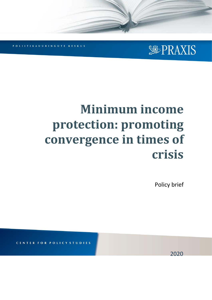

**KESKUS** UURINGUTE

# **Minimum income protection: promoting convergence in times of crisis**

Policy brief

**STUDIES** 

2020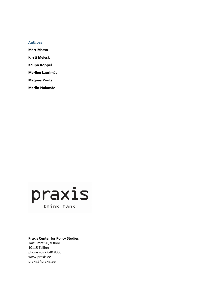### **Authors**

**Märt Masso**

**Kirsti Melesk**

**Kaupo Koppel**

**Merilen Laurimäe**

**Magnus Piirits**

**Merlin Nuiamäe**



### **Praxis Center for Policy Studies**

Tartu mnt 50, V floor 10115 Tallinn phone +372 640 8000 www.praxis.ee [praxis@praxis.ee](mailto:praxis@praxis.ee)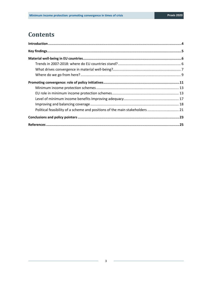# **Contents**

| Political feasibility of a scheme and positions of the main stakeholders  21 |  |
|------------------------------------------------------------------------------|--|
|                                                                              |  |
|                                                                              |  |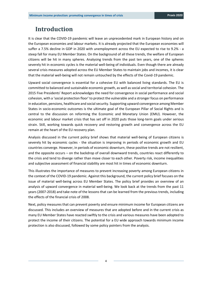# <span id="page-3-0"></span>**Introduction**

It is clear that the COVID-19 pandemic will leave an unprecedented mark in European history and on the European economies and labour markets. It is already projected that the European economies will suffer a 7.5% decline in GDP in 2020 with unemployment across the EU expected to rise to 9.2% - a steep fall for many EU Member States. On the background of all these trends, the welfare of European citizens will be hit in many spheres. Analysing trends from the past ten years, one of the spheres severely hit in economic cycles is the material well-being of individuals. Even though there are already several crisis measures adopted across the EU Member States to maintain jobs and incomes, it is clear that the material well-being will not remain untouched by the effects of the Covid-19 pandemic.

Upward social convergence is essential for a cohesive EU with balanced living standards. The EU is committed to balanced and sustainable economic growth, as well as social and territorial cohesion. The 2015 Five Presidents' Report acknowledges the need for convergence in social performance and social cohesion, with a 'social protection floor' to protect the vulnerable and a stronger focus on performance in education, pensions, healthcare and social security. Supporting upward convergence among Member States in socio-economic outcomes is the ultimate goal of the European Pillar of Social Rights and is central to the discussion on reforming the Economic and Monetary Union (EMU). However, the economic and labour market crisis that has set off in 2020 puts those long-term goals under serious strain. Still, working towards quick recovery and restoring growth and convergence across the EU remain at the heart of the EU recovery plan.

Analysis discussed in the current policy brief shows that material well-being of European citizens is severely hit by economic cycles - the situation is improving in periods of economic growth and EU countries converge. However, in periods of economic downturn, these positive trends are not resilient, and the opposite occurs – on the backdrop of overall downward trends, countries react differently to the crisis and tend to diverge rather than move closer to each other. Poverty risk, income inequalities and subjective assessment of financial stability are most hit in times of economic downturn.

This illustrates the importance of measures to prevent increasing poverty among European citizens in the context of the COVID-19 pandemic. Against this background, the current policy brief focuses on the issue of material well-being across EU Member States. The policy brief provides an overview of an analysis of upward convergence in material well-being. We look back at the trends from the past 11 years (2007-2018) and take note of the lessons that can be learned from the previous trends, including the effects of the financial crisis of 2008.

Next, policy measures that can prevent poverty and ensure minimum income for European citizens are discussed. This includes an overview of measures that are adopted before and in the current crisis as many EU Member States have reacted swiftly to the crisis and various measures have been adopted to protect the income of their citizens. The potential for a EU wide approach towards minimum income protection is also discussed, followed by some policy pointers from the analysis.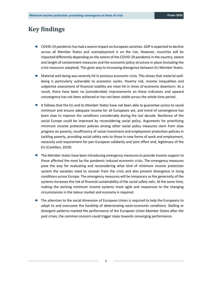# <span id="page-4-0"></span>**Key findings**

- COVID-19 pandemic has had a severe impact on European societies. GDP is expected to decline across all Member States and unemployment is on the rise. However, countries will be impacted differently depending on the extent of the COVID-19 pandemic in the country, extent and length of containment measures and the economic policy structure in place (including the crisis measures adopted). This gives way to increasing divergence between EU Member States.
- Material well-being was severely hit in previous economic crisis. This shows that material wellbeing is particularly vulnerable to economic cycles. Poverty risk, income inequalities and subjective assessment of financial stability are most hit in times of economic downturn. As a result, there have been no (considerable) improvements on these indicators and upward convergence has not been achieved or has not been stable across the whole time period.
- It follows that the EU and its Member States have not been able to guarantee access to social minimum and ensure adequate income for all Europeans yet, and trend of convergence has been slow to improve the conditions considerably during the last decade. Resilience of the social Europe could be improved by reconsidering social policy. Arguments for prioritizing minimum income protection policies among other social policy measures stem from slow progress on poverty, insufficiency of social investment and employment protection policies in tackling poverty, providing social safety nets to those in new forms of work and employment, necessity and requirement for pan-European solidarity and joint effort and, legitimacy of the EU (Cantillon, 2019).
- The Member states have been introducing emergency measures to provide income support to those affected the most by the pandemic induced economic crisis. The emergency measures pave the way for evaluating and reconsidering what kind of minimum income protection system the societies need to recover from the crisis and also prevent divergence in living conditions across Europe. The emergency measures will be temporary as the generosity of the systems increases the risk of financial sustainability of the social safety nets. At the same time, making the existing minimum income systems more agile and responsive to the changing circumstances in the labour market and economy is required.
- The attention to the social dimension of European Union is required to help the Europeans to adapt to and overcome the hardship of deteriorating socio-economic conditions. Stalling or divergent patterns marked the performance of the European Union Member States after the past crises, the common concern could trigger steps towards converging performance.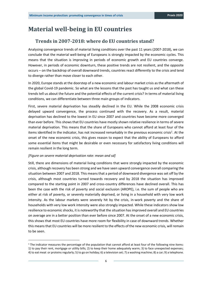# <span id="page-5-1"></span><span id="page-5-0"></span>**Material well-being in EU countries**

# **Trends in 2007-2018: where do EU countries stand?**

Analysing convergence trends of material living conditions over the past 11 years (2007-2018), we can conclude that the material well-being of Europeans is strongly impacted by the economic cycles. This means that the situation is improving in periods of economic growth and EU countries converge. However, in periods of economic downturn, these positive trends are not resilient, and the opposite occurs – on the backdrop of overall downward trends, countries react differently to the crisis and tend to diverge rather than move closer to each other.

In 2020, Europe stands at the doorstep of a new economic and labour market crisis as the aftermath of the global Covid-19 pandemic. So what are the lessons that the past has taught us and what can these trends tell us about the future and the potential effects of the current crisis? In terms of material living conditions, we can differentiate between three main groups of indicators.

First, severe material deprivation has steadily declined in the EU. While the 2008 economic crisis delayed upward convergence, the process continued with the recovery. As a result, material deprivation has declined to the lowest in EU since 2007 and countries have become more converged than ever before. This shows that EU countries have mostly shown relative resilience in terms of severe material deprivation. This means that the share of Europeans who cannot afford at least four of the items identified in the indicator, has not increased remarkably in the previous economic crisis<sup>1</sup>. At the onset of the new economic crisis, this gives reason to expect that the ability of Europeans to afford some essential items that might be desirable or even necessary for satisfactory living conditions will remain resilient in the long term.

#### *[Figure on severe material deprivation rate: mean and sd]*

Still, there are dimensions of material living conditions that were strongly impacted by the economic crisis, although recovery has been strong and we have seen upward convergence overall comparing the situation between 2007 and 2018. This means that a period of downward divergence was set off by the crisis, although most countries turned towards recovery and by 2018 the situation has improved compared to the starting point in 2007 and cross-country differences have declined overall. This has been the case with the risk of poverty and social exclusion (AROPE), i.e. the sum of people who are either at risk of poverty, or severely materially deprived, or living in a household with very low work intensity. As the labour markets were severely hit by the crisis, in-work poverty and the share of households with very low work intensity were also strongly impacted. While these indicators show low resilience to economic shocks, it is noteworthy that the situation has improved overall and EU countries on average are in a better position than ever before since 2007. At the onset of a new economic crisis, this shows that most EU countries have more room for flexibility in case of downward trends. Whether this means that EU countries will be more resilient to the effects of the new economic crisis, will remain to be seen.

<sup>&</sup>lt;sup>1</sup> The indicator measures the percentage of the population that cannot afford at least four of the following nine items: 1) to pay their rent, mortgage or utility bills; 2) to keep their home adequately warm; 3) to face unexpected expenses; 4) to eat meat or proteins regularly; 5) to go on holiday; 6) a television set; 7) a washing machine; 8) a car; 9) a telephone.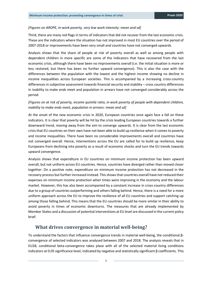#### *[Figures on AROPE, in-work poverty, very low work intensity: mean and sd]*

Third, there are many red flags in terms of indicators that did not recover from the last economic crisis. These are the indicators where the situation has not improved in most EU countries over the period of 2007-2018 or improvements have been very small and countries have not converged upwards.

Analysis shows that the share of people at risk of poverty overall as well as among people with dependent children in more specific are some of the indicators that have recovered from the last economic crisis, although there have been no improvements overall (i.e. the initial situation is more or less restored, but there has been no further upward convergence). This is also the case with the differences between the population with the lowest and the highest income showing no decline in income inequalities across European societies. This is accompanied by a increasing cross-country differences in subjective assessment towards financial security and stability – cross country differences in inability to make ends meet and population in arrears have not converged considerably across the period.

### *[Figures on at risk of poverty, income quintile ratio, in work poverty of people with dependent children, inability to make ends meet, population in arrears: mean and sd]*

At the onset of the new economic crisis in 2020, European countries once again face a fall on these indicators. It is clear that poverty will be hit by the crisis leading European countries towards a further downward trend, moving away from the aim to converge upwards. It is clear from the last economic crisis that EU countries on their own have not been able to build up resilience when it comes to poverty and income inequalities. There have been no considerable improvements overall and countries have not converged overall. Hence, interventions across the EU are called for to build up resilience, keep Europeans from declining into poverty as a result of economic shocks and turn the EU trends towards upward convergence.

Analysis shows that expenditure in EU countries on minimum income protection has been upward overall, but not uniform across EU countries. Hence, countries have diverged rather than moved closer together. On a positive note, expenditure on minimum income protection has not decreased in the recovery process but further increased instead. This shows that countries overall have not reduced their expenses on minimum income protection when times were improving in the economy and the labour market. However, this has also been accompanied by a constant increase in cross-country differences due to a group of countries outperforming and others falling behind. Hence, there is a need for a more uniform approach across the EU to improve the resilience of all EU countries and support catching up among those falling behind. This means that the EU countries should be more similar in their ability to avoid poverty in times of economic downturns. The measures that are already implemented by Member States and a discussion of potential interventions at EU level are discussed in the current policy brief.

### <span id="page-6-0"></span>**What drives convergence in material well-being?**

To understand the factors that influence convergence trends in material well-being, the conditional βconvergence of selected indicators was analysed between 2007 and 2018. The analysis reveals that in EU28, conditional beta-convergence takes place with all of the selected material living conditions indicators at 0.05 significance level, indicated by negative and statistically significant β coefficients. This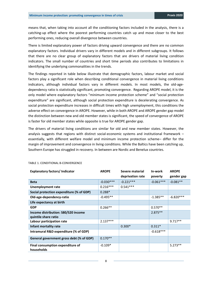means that, when taking into account all the conditioning factors included in the analysis, there is a catching-up effect where the poorest performing countries catch up and move closer to the best performing ones, reducing overall divergence between countries.

There is limited explanatory power of factors driving upward convergence and there are no common explanatory factors. Individual drivers vary in different models and in different subgroups. It follows that there are no clear group of explanatory factors that are drivers of material living condition indicators. The small number of countries and short time periods also contributes to limitations in identifying the underlying commonalities in the trends.

The findings reported in table below illustrate that demographic factors, labour market and social factors play a significant role when describing conditional convergence in material living conditions indicators, although individual factors vary in different models. In most models, the old-agedependency ratio is statistically significant, promoting convergence. Regarding AROPE model, it is the only model where explanatory factors "minimum income protection scheme" and "social protection expenditure" are significant, although social protection expenditure is decelerating convergence. As social protection expenditure increases in difficult times with high unemployment, this conditions the adverse effect on convergence in AROPE. However, while in both AROPE and AROPE gender gap model the distinction between new and old member states is significant, the speed of convergence of AROPE is faster for old member states while opposite is true for AROPE gender gap.

The drivers of material living conditions are similar for old and new member states. However, the analysis suggests that regions with distinct social-economic systems and institutional framework – essentially, with different welfare model and minimum income protection scheme– differ for the margin of improvement and convergence in living conditions. While the Baltics have been catching up, Southern Europe has struggled in recovery. In between are Nordic and Benelux countries.

| <b>Explanatory factors/Indicator</b>           | <b>AROPE</b> | Severe material  | In-work     | <b>AROPE</b> |
|------------------------------------------------|--------------|------------------|-------------|--------------|
|                                                |              | deprivation rate | poverty     | gender gap   |
| <b>Beta</b>                                    | $-0.030***$  | $-0.221***$      | $-0.061***$ | $-0.081**$   |
| Unemployment rate                              | $0.216***$   | $0.541***$       |             |              |
| Social protection expenditure (% of GDP)       | $0.288*$     |                  |             |              |
| Old-age-dependency-ratio                       | $-0.495**$   |                  | $-1.385**$  | $-6.820***$  |
| Life expectancy at birth                       |              |                  |             |              |
| <b>GDP</b>                                     | $0.266**$    |                  | $0.570**$   |              |
| Income distribution: S80/S20 income            |              |                  | $2.875**$   |              |
| quintile share ratio                           |              |                  |             |              |
| Labour participation rate                      | $2.137***$   |                  |             | $9.717**$    |
| Infant mortality rate                          |              | $0.300*$         | $0.311*$    |              |
| Intramural R&D expenditure (% of GDP)          |              |                  | $-0.618***$ |              |
| General government gross debt (% of GDP)       | $0.170**$    |                  |             |              |
| Final consumption expenditure of<br>households | $-0.109*$    |                  |             | $5.273**$    |

#### TABLE 1. CONDITIONAL Β-CONVERGENCE

8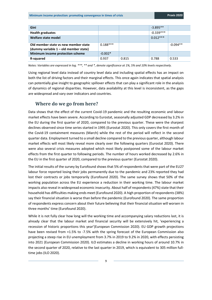| Gini                                                                          |            |       | $-3.895**$  |            |
|-------------------------------------------------------------------------------|------------|-------|-------------|------------|
| <b>Health graduates</b>                                                       |            |       | $-0.339***$ |            |
| Welfare state model                                                           |            |       | $0.012***$  |            |
| Old member state vs new member state<br>(dummy variable 1 – old member state) | $0.188***$ |       |             | $-0.094**$ |
| Minimum income protection scheme                                              | $-0.002*$  |       |             |            |
| R-squared                                                                     | 0.937      | 0.815 | 0.788       | 0.533      |

*Notes: Variables are expressed in log. \*\*\*, \*\* and \*, denote significance at 1%, 5% and 10% levels respectively.*

Using regional level data instead of country level data and including spatial effects has an impact on both the list of driving factors and their marginal effects. This once again indicates that spatial analysis can potentially give insight to geographic spillover effects that can play a significant role in the analysis of dynamics of regional disparities. However, data availability at this level is inconsistent, as the gaps are widespread and vary over indicators and countries.

# <span id="page-8-0"></span>**Where do we go from here?**

Data shows that the effect of the current Covid-19 pandemic and the resulting economic and labour market effects have been severe. According to Eurostat, seasonally adjusted GDP decreased by 3.2% in the EU during the first quarter of 2020, compared to the previous quarter. These were the sharpest declines observed since time series started in 1995 (Eurostat 2020). This only covers the first month of the Covid-19 containment measures (March) while the rest of the period will reflect in the second quarter data. Employment turned to a small decline compared to the previous quarter, although labour market effects will most likely reveal more clearly over the following quarters (Eurostat 2020). There were also several crisis measures adopted which most likely postponed some of the labour market effects from the first quarter to following periods. The number of hours worked decreased by 2.6% in the EU in the first quarter of 2020, compared to the previous quarter (Eurostat 2020).

The initial results of the survey by Eurofound shows that 5% of respondents that were part of the EU27 labour force reported losing their jobs permanently due to the pandemic and 23% reported they had lost their contracts or jobs temporarily (Eurofound 2020). The same survey shows that 50% of the working population across the EU experience a reduction in their working time. The labour market impacts also reveal in widespread economic insecurity. About half of respondents (47%) state that their household has difficulties making ends meet (Eurofound 2020). A high proportion of respondents (38%) say their financial situation is worse than before the pandemic (Eurofound 2020). The same proportion of respondents express concern about their future believing that their financial situation will worsen in three months' time (Eurofound 2020).

While it is not fully clear how long will the working time and accompanying salary reductions last, it is already clear that the labour market and financial security will be extensively hit, 'experiencing a recession of historic proportions this year'(European Commission 2020). EU GDP growth projections have been revised from +1.5% to -7.5% with the spring forecast of the European Commission also projecting a steep rise in EU unemployment from 3.7% in 2019 to 9.2% in 2020, with effects persisting into 2021 (European Commission 2020). ILO estimates a decline in working hours of around 10.7% in the second quarter of 2020, relative to the last quarter in 2019, which is equivalent to 305 million fulltime jobs (ILO 2020).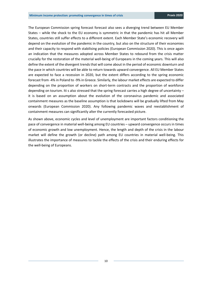The European Commission spring forecast forecast also sees a diverging trend between EU Member States – while the shock to the EU economy is symmetric in that the pandemic has hit all Member States, countries still suffer effects to a different extent. Each Member State's economic recovery will depend on the evolution of the pandemic in the country, but also on the structure of their economies and their capacity to respond with stabilising policies (European Commission 2020). This is once again an indication that the measures adopted across Member States to rebound from the crisis matter crucially for the restoration of the material well-being of Europeans in the coming years. This will also define the extent of the divergent trends that will come about in the period of economic downturn and the pace in which countries will be able to return towards upward convergence. All EU Member States are expected to face a recession in 2020, but the extent differs according to the spring economic forecast from -4% in Poland to -9% in Greece. Similarly, the labour market effects are expected to differ depending on the proportion of workers on short-term contracts and the proportion of workforce depending on tourism. Iti s also stressed that the spring forecast carries a high degree of uncertainty it is based on an assumption about the evolution of the coronavirus pandemic and associated containment measures as the baseline assumption is that lockdowns will be gradually lifted from May onwards (European Commission 2020). Any following pandemic waves and reestablishment of containment measures can significantly alter the currently forecasted picture.

As shown above, economic cycles and level of unemployment are important factors conditioning the pace of convergence in material well-being among EU countries – upward convergence occurs in times of economic growth and low unemployment. Hence, the length and depth of the crisis in the labour market will define the growth (or decline) path among EU countries in material well-being. This illustrates the importance of measures to tackle the effects of the crisis and their enduring effects for the well-being of Europeans.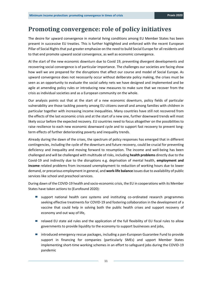# <span id="page-10-0"></span>**Promoting convergence: role of policy initiatives**

The desire for upward convergence in material living conditions among EU Member States has been present in successive EU treaties. This is further highlighted and enforced with the recent European Pillar of Social Rights that put greater emphasize on the need to build Social Europe for all residents and to that end promote upward social convergence, as well as economic convergence.

At the start of the new economic downturn due to Covid 19, preventing divergent developments and recovering social convergence is of particular importance. The challenges our societies are facing show how well we are prepared for the disruptions that affect our course and model of Social Europe. As upward convergence does not necessarily occur without deliberate policy making, the crises must be seen as an opportunity to evaluate the social safety nets we have designed and implemented and be agile at amending policy rules or introducing new measures to make sure that we recover from the crisis as individual societies and as a European community on the whole.

Our analysis points out that at the start of a new economic downturn, policy fields of particular vulnerability are those tackling poverty among EU citizens overall and among families with children in particular together with increasing income inequalities. Many countries have still not recovered from the effects of the last economic crisis and at the start of a new one, further downward trends will most likely occur before the expected recovery. EU countries need to focus altogether on the possibilities to raise resilience to each new economic downward cycle and to support fast recovery to prevent longterm effects of further deteriorating poverty and inequality trends.

Already during the dawn of the crises, the spectrum of policy responses has emerged that in different contingencies, including the cycle of the downturn and future recovery, could be crucial for preventing deficiency and inequality and moving forward to resumption. The income and well-being has been challenged and will be challenged with multitude of risks, including **health problems** directly due to the Covid-19 and indirectly due to the disruptions e.g. deprivation of mental health, **employment and income** related problems from increased unemployment to reduction of working hours due to lower demand, or precarious employment in general, and **work-life balance** issues due to availability of public services like school and preschool services.

During dawn of the COVID-19 health and socio-economic crisis, the EU in cooperations with its Member States have taken actions to (Eurofound 2020):

- **E** support national health care systems and instituting co-ordinated research programmes seeking effective treatments for COVID-19 and fostering collaboration in the development of a vaccine that could help in solving both the public health crises and support recovery of economy and out way of life,
- relaxed EU state aid rules and the application of the full flexibility of EU fiscal rules to allow governments to provide liquidity to the economy to support businesses and jobs,
- introduced emergency rescue packages, including a pan-European Guarantee Fund to provide support in financing for companies (particularly SMEs) and upport Member States implementing short-time working schemes in an effort to safeguard jobs during the COVID-19 pandemic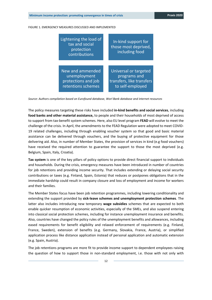#### FIGURE 1. EMERGENCY MEASURES DISCUSSED AND IMPLEMENTED

| Lightening the load of<br>tax and social<br>protection<br>contributions | In-kind support for<br>those most deprived,<br>including food |
|-------------------------------------------------------------------------|---------------------------------------------------------------|
| New and ammended                                                        | Universal or targeted                                         |
| unemployment                                                            | programs and                                                  |
| protections and job                                                     | transfers, like transfers                                     |
| retentions schemes                                                      | to self-employed                                              |

*Source: Authors compilation based on Eurofound database, Worl Bank database and internet resources*

The policy measures targeting these risks have included **in-kind benefits and social services**, including **food banks and other material assistance,** to people and their households of most deprived of access to support from tax-benefit system schemes. Here, also EU level program **FEAD** will evolve to meet the challenge of the crisis. In April, the amendments to the FEAD Regulation were adopted to meet COVID-19 related challenges, including through enabling voucher system so that good and basic material assistance can be delivered through vouchers, and the buying of protective equipment for those delivering aid. Also, in number of Member States, the provision of services in kind (e.g food vouchers) have received the required attention to guarantee the support to those the most deprived (e.g. Belgium, Spain, Italy, Croatia).

**Tax system** is one of the key pillars of policy options to provide direct financial support to individuals and households. During the crisis, emergency measures have been introduced in number of countries for job retentions and providing income security. That includes extending or delaying social security contributions or taxes (e.g. Finland, Spain, Estonia) that reduces or postpones obligations that in the immediate hardship could result in company closure and loss of employment and income for workers and their families.

The Member States focus have been job retention programmes, including lowering conditionality and extending the support provided by **sick-leave schemes and unemployment protection schemes**. The latter also includes introducing new temporary **wage subsidies** schemes that are expected to both enable quicker resumption of economic activities, especially of the SMEs, and also suspend entering into classical social protection schemes, including for instance unemployment insurance and benefits. Also, countries have changed the policy rules of the unemployment benefits and allowances, including eased requirements for benefit eligibility and relaxed enforcement of requirements (e.g. Finland, France, Sweden), extension of benefits (e.g. Germany, Slovakia, France, Austria), or simplified application process like distance application instead of personal application and automatic extension (e.g. Spain, Austria).

The job retentions programs are more fit to provide income support to dependent employees raising the question of how to support those in non-standard employment, i.e. those with not only with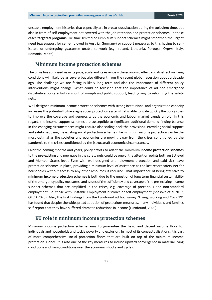unstable employment histories that especially are in precarious situation during the turbulent time, but also in from of self-employment not covered with the job retention and protection schemes. In these cases **targeted programs** like time-limited or lump-sum support schemes might smoothen the urgent need (e.g support for self-employed in Austria, Germany) or support measures to this having to selfisolate or undergoing guarantee unable to work (e.g. Ireland, Lithuania, Portugal, Cyprys, Italy, Romania, Malta).

### <span id="page-12-0"></span>**Minimum income protection schemes**

The crisis has surprised us in its pace, scale and its essence – the economic effect and its effect on living conditions will likely be as severe but also different from the recent global recession about a decade ago. The challenge we are facing is likely long term and also the importance of different policy interventions might change. What could be foreseen that the importance of ad hoc emergency distributive policy efforts run out of oomph and public support, leading way to reforming the safety nets.

Well designed minimum income protection schemes with strong institutional and organization capacity increases the potential to have agile social protection system that is able to scale quickly the policy rules to improve the coverage and generosity as the economic and labour market trends unfold. In this regard, the income support schemes are susceptible to significant additional demand finding balance in the changing circumstances might require also scaling back the provisions. Providing social support and safety net using the existing social protection schemes like minimum income protection can be the most optimal as the societies and economies are moving away from the crises conditioned by the pandemic to the crises conditioned by the (structural) economic circumstances.

Over the coming months and years, policy efforts to adapt the **minimum income protection schemes** to the pre-existing and new gaps in the safety nets could be one of the attention points both on EU level and Member States level. Even with well-designed unemployment protection and paid sick leave protection schemes in place, providing a minimum level of assistance as the last resort safety-net for households without access to any other resources is required. That importance of being attentive to **minimum income protection schemes** is both due to the question of long term financial sustainability of the emergency policy measures, and issues of the sufficiency and coverage of the pre-existing income support schemes that are amplified in the crises, e.g. coverage of precarious and non-standard employment, i.e. those with unstable employment histories or self-employment (Spasova et al 2017, OECD 2020). Also, the first findings from the Eurofound ad hoc survey "Living, working and Covid19" hasfound that despite the widespread adoption of protections measures, many individuals and families self-report that they have suffered dramatic reductions in income (Eurofound, 2020).

### <span id="page-12-1"></span>**EU role in minimum income protection schemes**

Minimum income protection scheme aims to guarantee the basic and decent income floor for individuals and households and tackle poverty and exclusion. In most of its conceptualisations, it is part of more comprehensive social protection floors that are built on top of the minimum income protection. Hence, it is also one of the key measures to induce upward convergence in material living conditions and living conditions over the economic shocks and cycles.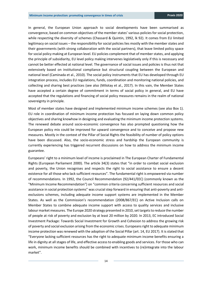In general, the European Union approach to social developments have been summarised as convergence, based on common objectives of the member states' various policies for social protection, while respecting the diversity of schemes (Chassard & Quintin, 1992, lk 92). It comes from EU limited legitimacy on social issues – the responsibility for social policies lies mostly with the member states and their governments (with strong collaboration with the social partners), that leave limited policy space for social policy making at European level. EU policies complement that of member states, and applying the principle of subsidiarity, EU level policy making intervenes legislatively only if this is necessary and cannot be better effected at national level. The governance of social issues and policies is thus not that extensively based on institutional compliance but structural coupling between the European and national level (Caminada et al., 2010). The social policy instruments that EU has developed through EU integration process, includes EU regulations, funds, coordination and monitoring national policies, and collecting and sharing best practices (see also (Milotay et al., 2017). In this vain, the Member States have accepted a certain degree of commitment in terms of social policy in general, and EU have accepted that the regulations and financing of social policy measures remains in the realm of national sovereignty in principle.

Most of member states have designed and implemented minimum income schemes (see also [Box 1\)](#page-14-0). EU role in coordination of minimum income protection has focused on laying down common policy objectives and sharing knowhow in designing and evaluating the minimum income protection systems. The renewed debate around socio-economic convergence has also prompted questioning how the European policy mix could be improved for upward convergence and to conceive and propose new measures. Mostly in the context of the Pillar of Social Rights the feasibility of number of policy options have been discussed. Also, the socio-economic stress and hardship the European community is currently experiencing has triggered recurrent discussions on how to address the minimum income guarantee.

Europeans' right to a minimum level of income is proclaimed in The European Charter of Fundamental Rights (European Parliament 2000). The article 34(3) states that "in order to combat social exclusion and poverty, the Union recognises and respects the right to social assistance to ensure a decent existence for all those who lack sufficient resources". The fundamental right is empowered via number of recommendations. In 1992, the Council Recommendation (92/441/EEC) (commonly known as the "Minimum Income Recommendation") on "common criteria concerning sufficient resources and social assistance in social protection systems" was crucial step forward in ensuring that anti-poverty and antiexclusions schemes, including adequate income support systems are implemented in the Member States. As well as the Commission's recommendation (2008/867/EC) on Active Inclusion calls on Member States to combine adequate income support with access to quality services and inclusive labour market measures. The Europe 2020 strategy presented in 2010, set targets to reduce the number of people at risk of poverty and exclusion by at least 20 million by 2020. In 2013, EC introduced Social Investment Package: Towards Social Investment for Growth and Cohesion to address the growing risk of poverty and social exclusion arising from the economic crises. Europeans right to adequate minimum income protection was renewed with the adoption of the Social Pillar (art. 14, EU 2017). It is stated that "Everyone lacking sufficient resources has the right to adequate minimum income benefits ensuring a life in dignity at all stages of life, and effective access to enabling goods and services. For those who can work, minimum income benefits should be combined with incentives to (re)integrate into the labour market".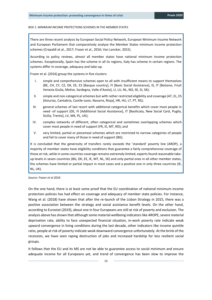#### <span id="page-14-0"></span>BOX 1. MINIMUM INCOME PROTECTIONS SCHEMES IN THE MEMBER STATES

There are three recent analysis by European Social Policy Network, European Minimum Income Network and European Parliament that comparatively analyse the Member States minimum income protection schemes (Crepaldi et al., 2017; Frazer et al., 2016; Van Lancker, 2015).

According to policy reviews, almost all member states have national minimum income protection schemes. Exceptionally, Spain has the scheme in all its regions, Italy has scheme in certain regions. The systems differ in coverage, adequacy and take-up.

Frazer et al. (2016) group the systems in five clusters:

- I. simple and comprehensive schemes open to all with insufficient means to support themselves (BE, CH, CY, CZ, DK, EE, ES [Basque country], FI [Basic Social Assistance], IS, IT [Bolzano, Friuli Venezia Giulia, Molise, Sardegna, Valle d'Aosta], LI, LU, NL, NO, SE, SI, SK);
- II. simple and non-categorical schemes but with rather restricted eligibility and coverage (AT, EL, ES [Asturias, Cantabria, Castile-Leon, Navarre, Rioja], HR, HU, LT, PT, RS);
- III. general schemes of last resort with additional categorical benefits which cover most people in need -of support (DE, FI [Additional Social Assistance], IT [Basilicata, New Social Card, Puglia, Sicilia, Trento], LV, MK, PL, UK);
- IV. complex networks of different, often categorical and sometimes overlapping schemes which cover most people in need of support (FR, IE, MT, RO); and
- V. very limited, partial or piecemeal schemes which are restricted to narrow categories of people and fail to cover many of those in need of support (BG).

It is concluded that the generosity of transfers rarely exceeds the 'standard' poverty line (AROP), a majority of member states have eligibility conditions that guarantee a fairly comprehensive coverage of those at risk, while in some countries coverage remains extremely limited, experts found reasonable takeup levels in seven countries (BG, DK, EE, IE, MT, NL, SK) and only partial ones in all other member states, the schemes have limited or partial impact in most cases and a positive one in only three countries (IE, NL, UK).

*Source: Frazer et al 2016*

On the one hand, there is at least some proof that the EU coordination of national minimum income protection policies has had effect on coverage and adequacy of member state policies. For instance, Wang et al. (2018) have shown that after the re-launch of the Lisbon Strategy in 2015, there was a positive association between the strategy and social assistance benefit levels. On the other hand, according to Eurostat (2019), about one in four Europeans are still at risk of poverty and exclusion. The analysis above has shown that although some material wellbeing indicators like AROPE, severe material deprivation rate, ability to face unexpected financial situation, in-work poverty rate indicate weak upward convergence in living conditions during the last decade, other indicators like income quintile ratio, people at risk of poverty indicate weak downward convergence unfortunately. At the brink of the recession, we have seen raping destruction of jobs and increased hardship for less resilient social groups.

It follows that the EU and its MS are not be able to guarantee access to social minimum and ensure adequate income for all Europeans yet, and trend of convergence has been slow to improve the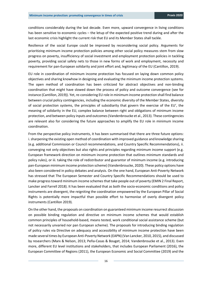conditions considerably during the last decade. Even more, upward convergence in living conditions has been sensitive to economic cycles – the letup of the expected positive trend during and after the last economic crisis highlight the current risk that EU and its Member States shall tackle.

Resilience of the social Europe could be improved by reconsidering social policy. Arguments for prioritizing minimum income protection policies among other social policy measures stem from slow progress on poverty, insufficiency of social investment and employment protection policies in tackling poverty, providing social safety nets to those in new forms of work and employment, necessity and requirement for pan-European solidarity and joint effort and, legitimacy of the EU (Cantillon, 2019).

EU role in coordination of minimum income protection has focused on laying down common policy objectives and sharing knowhow in designing and evaluating the minimum income protection systems. The open method of coordination has been criticized for abstract objectives and non-binding coordination that might have slowed down the process of policy and outcome convergence (see for instance (Cantillon, 2019)). Yet, re-considering EU role in minimum income protection shall find balance between crucial policy contingencies, including the economic diversity of the Member States, diversity of social protection systems, the principles of subsidiarity that govern the exercise of the EU', the meaning of solidarity in the EU, complex balance between right and obligations of minimum income protection, and between policy inputs and outcomes (Vandenbroucke et al., 2013). These contingencies are relevant also for considering the future approaches to amplify the EU role in minimum income coordination.

From the perspective policy instruments, it has been summarised that there are three future options: i. sharpening the existing open method of coordination with improved guidance and knowledge sharing (e.g. additional Commission or Council recommendations, and Country Specific Recommendations), ii. converging not only objectives but also rights and principles regarding minimum income support (e.g. European framework direction on minimum income protection that outlines minimum standards and policy rules), or iii. taking the role of redistributor and guarantor of minimum income (e.g. introducing pan-European minimum income protection scheme) (Vandenbroucke, 2020). These policy options have also been considered in policy debates and analysis. On the one hand, European Anti-Poverty Network has stressed that The European Semester and Country Specific Recommendations should be used to make progress toward minimum income schemes that take people out of poverty (EMIN 2 Final Report, Lancker and Farrell 2018). It has been evaluated that as both the socio-economic conditions and policy instruments are divergent, the reigniting the coordination empowered by the European Pillar of Social Rights is potentially more impactful than possible effort to harmonise of overly divergent policy instruments (Cantillon 2019).

On the other hand, the proposals on coordination on guaranteed minimum income resurrect discussion on possible binding regulation and directive on minimum income schemes that would establish common principles of household-based, means tested, work conditional social assistance scheme (but not necessarily unvaried nor pan European scheme). The proposals for introducing binding regulation of policy rules via Directive on adequacy and accessibility of minimum income protection have been made several times by European Anti-Poverty Network (EAPN) (Van Lancker, 2010, 2015), and discussed by researchers (Marx & Nelson, 2013; Peña-Casas & Bouget, 2014; Vandenbroucke et al., 2013). Even more, different EU level institutions and stakeholders, that includes European Parliament (2016), the European Committee of Regions (2011), the European Economic and Social Committee (2019) and the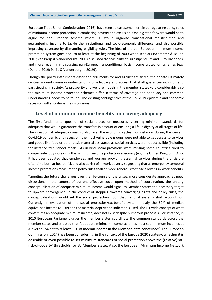European Trade Union Confederation (2016), have seen at least some merit in co-regulating policy rules of minimum income protection in combating poverty and exclusion. One big step forward would be to argue for pan-European scheme where EU would organize transnational redistribution and guaranteeing income to tackle the institutional and socio-economic difference, and also possible improving coverage by dismantling eligibility rules. The idea of the pan European minimum income protection system goes back to at least at the beginning of 2000 when scholars (Schmitter & Bauer, 2001; Van Parijs & Vanderborght, 2001) discussed the feasibility of Eurostipendium and Euro-Dividends, and more recently in discussing pan-European unconditional basic income protection schemes (e.g. (Denuit, 2019; Parijs & Vanderborght, 2019)).

Though the policy instruments differ and arguments for and against are fierce, the debate ultimately centres around common understanding of adequacy and access that shall guarantee inclusion and participating in society. As prosperity and welfare models in the member states vary considerably also the minimum income protection schemes differ in terms of coverage and adequacy and common understanding needs to be found. The existing contingencies of the Covid-19 epidemia and economic recession will also shape the discussions.

### <span id="page-16-0"></span>**Level of minimum income benefits improving adequacy**

The first fundamental question of social protection measures is setting minimum standards for adequacy that would guarantee the transfers in amount of ensuring a life in dignity at all stages of life. The question of adequacy dynamic also over the economic cycles. For instance, during the current Covid-19 pandemic and recession, the most vulnerable groups were not able to get access to services and goods like food or other basic material assistance as social services were not accessible (including for instance free school meals). As in-kind social provisions were missing some countries tried to compensate it by increasing the minimum income protection adequacy (e.g. the United Kingdom). Also, it has been debated that employees and workers providing essential services during the crisis are oftentime both at health risk and also at risk of in work poverty suggesting that as emergency temporal income protections measure the policy rules shall be more generous to those allowing in-work benefits.

Targeting the future challenges over the life-course of the crises, more considerate approaches need discussion. In the context of current effective social open method of coordination, the unitary conceptualisation of adequate minimum income would signal to Member States the necessary target to upward convergence. In the context of stepping towards converging rights and policy rules, the conceptualisations would set the social protection floor that national systems shall account for. Currently, in evaluation of the social protection/tax-benefit system mostly the 60% of median equivalised income (AROP) and the material deprivation indicator is used. The EU-wide concept of what constitutes an adequate minimum income, does not exist despite numerous proposals. For instance, in 2010 European Parliament urges the member states coordinate the common standards across the member states and stressed that "adequate minimum income schemes must set minimum incomes at a level equivalent to at least 60% of median income in the Member State concerned". The European Commission (2014) has been considering, in the context of the Europe 2020 strategy, whether it is desirable or even possible to set minimum standards of social protection above the (relative) 'atrisk-of-poverty' thresholds for EU Member States. Also, the European Minimum Income Network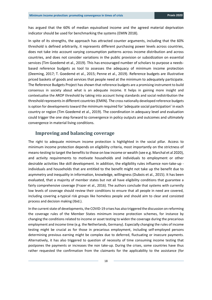has argued that the 60% of median equivalised income and the agreed material deprivation indicator should be used for benchmarking the systems (EMIN 2018).

In spite of its strengths, the approach has attracted counter arguments, including that the 60% threshold is defined arbitrarily, it represents different purchasing power levels across countries, does not take into account varying consumption patterns across income distribution and across countries, and does not consider variations in the public provision or subsidization on essential services (Tim Goedemé et al., 2019). This has encouraged number of scholars to purpose a needsbased reference budgets as tool to assesses the adequacy of minimum income protection (Deeming, 2017; T. Goedemé et al., 2015; Penne et al., 2019). Reference budgets are illustrative priced baskets of goods and services that people need at the minimum to adequately participate. The Reference Budgets Project has shown that reference budgets are a promising instrument to build consensus in society about what is an adequate income. It helps in gaining more insight and contextualise the AROP threshold by taking into account living standards and social redistribution the threshold represents in different countries (EMIN). The cross nationally developed reference budgets is option for developments toward the minimum required for 'adequate social participation' in each country or region (Tim Goedemé et al., 2019). The coordination in adequacy level and evaluation could trigger the one step forward to convergence in policy outputs and outcomes and ultimately convergence in material living conditions.

### <span id="page-17-0"></span>**Improving and balancing coverage**

The right to adequate minimum income protection is highlighted in the social pillar. Access to minimum income protection depends on eligibility criteria, most importantly on the strictness of means-testing to target the benefits to those on low income or wealth (see e.g. Marchal et al 2020), and activity requirements to motivate households and individuals to employment or other desirable activities like skill development. In addition, the eligibility rules influence non-take-up individuals and households that are entitled to the benefit might not take up the benefit due to asymmetry and inequality in information, knowledge, willingness (Dubois et al., 2015). It has been evaluated, that a majority of member states but not all have eligibility conditions that guarantee a fairly comprehensive coverage (Frazer et al., 2016). The authors conclude that systems with currently low levels of coverage should review their conditions to ensure that all people in need are covered, including covering a-typical risk groups like homeless people and should aim to clear and consisted process and decision making (Ibid.).

In the current state of developments, the COVID-19 crises has also triggered the discussion on reforming the coverage rules of the Member States minimum income protection schemes, for instance by changing the conditions related to income or asset testing to widen the coverage during the precarious employment and income time (e.g. the Netherlands, Germany). Especially changing the rules of income testing might be crucial as for those in precarious employment, including self-employed persons determining previous earning might be complex due to deferred, fluctuating or insecure payments. Alternatively, it has also triggered to question of necessity of time consuming income testing that postpones the payments or increases the non take-up. During the crises, some countries have thus rather requested the confirmation from the claimants for the applicability to the assistance (for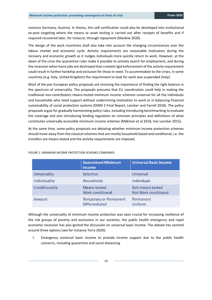instance Germany, Austria). In theory, this self certification could also be developed into institutional ex-post targeting where the means or asset testing is carried out after receipts of benefits and if required recovered later, for instacce, through repayment (Mankiw 2020).

The design of the work incentives shall also take into account the changing circumstances over the labour market and economic cycle. Activity requirements are reasonable motivators during the recovery and economic growth as it nudges individuals more quickly return to work. However, at the dawn of the crisis the quarantine rules make it possible to actively search for employment, and during the recession when more jobs are destroyed than created rigid enforcement of the activity requirement could result in further hardship and exclusion for those in need. To accommodate to the crises, in some countries (e.g. Italy, United Kingdom) the requirement to look for work was suspended (Italy).

Most of the pan European policy proposals are stressing the importance of finding the right balance in the spectrum of universality. The proposals presume that EU coordination could help in making the traditional non-contributory means-tested minimum income schemes universal for all the individuals and households who need support without undermining motivation to work or in balancing financial sustainability of social protection systems (EMIN 2 Final Report, Lancker and Farrell 2018). The policy proposals argue for gradually harmonising policy rules, including introducing benchmarking to evaluate the coverage and also introducing binding regulation on common principles and definitions of what constitutes universally accessible minimum income schemes (Mäkinen et al 2018, Van Lancker 2015).

At the same time, some policy proposals are debating whether minimum income protection schemes should move away from the classical schemes that are mostly household based and conditional, i.e. the transfers are means tested and the activity requirements are imposed.

|                | <b>Guaranteed Minimum</b><br><b>Income</b>             | <b>Universal Basic Income</b>                   |
|----------------|--------------------------------------------------------|-------------------------------------------------|
| Universality   | Selective                                              | Universal                                       |
| Individuality  | Households                                             | <b>Individuals</b>                              |
| Conditionality | Means tested<br><b>Work conditional</b>                | Not-means tested<br><b>Not Work conditional</b> |
| Amount         | <b>Temporary or Permanent</b><br><b>Differentiated</b> | Permanent<br>Uniform                            |

#### FIGURE 2. MINIMUM INCOME PROTECTION SCHEMES COMPARED

Although the universality of minimum income protection was seen crucial for increasing resilience of the risk groups of poverty and exclusions in our societies, the public health emergency and rapid economic recession has also ignited the discussion on universal basic income. The debate has centred around three options (see for instance Terry 2020):

I. Emergency universal basic income to provide income support due to the public health concerns, including quarantine and social distancing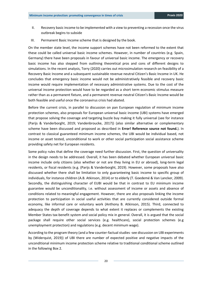- II. Recovery basic income to be implemented with a view to preventing a recession once the virus outbreak begins to subside
- III. Permanent Basic Income scheme that is designed by the book.

On the member state level, the income support schemes have not been reformed to the extent that these could be called universal basic income schemes. However, in number of countries (e.g. Spain, Germany) there have been proposals in favour of universal basic income. The emergency or recovery basic income has also stepped from outlining theoretical pros and cons of different designs to simulations. In the recent analysis, Torry (2020) carries out microsimulation research on feasibility of a Recovery Basic Income and a subsequent sustainable revenue neutral Citizen's Basic Income in UK. He concludes that emergency basic income would not be administratively feasible and recovery basic income would require implementation of necessary administrative systems. Due to the cost of the universal income protection would have to be regarded as a short term economic stimulus measure rather than as a permanent fixture, and a permanent revenue neutral Citizen's Basic Income would be both feasible and useful once the coronavirus crisis had abated.

Before the current crisis, in parallel to discussion on pan European regulation of minimum income protection schemes, also proposals for European universal basic income (UBI) systems have emerged that propose solving the coverage and targeting buzzle buy making it fully universal (see for instance (Parijs & Vanderborght, 2019; Vandenbroucke, 2017)) (also similar alternative or complementary scheme have been discussed and proposed as described in **Error! Reference source not found.**). In contrast to classical guaranteed minimum income schemes, the UBI would be individual based, not income or asset tested, unconditional to work or other social participation social assistance scheme providing safety net for European residents.

Some policy rules that define the coverage need further discussion. First, the question of universality in the design needs to be addressed. Overall, it has been debated whether European universal basic income include only citizens (also whether or not are they living in EU or abroad), long-term legal residents, or fiscal residents (e.g. (Parijs & Vanderborght, 2019). However, some proposals have also discussed whether there shall be limitation to only guaranteeing basic income to specific group of individuals, for instance children (A.B. Atkinson, 2014) or to elderly (T. Goedemé & Van Lancker, 2009). Secondly, the distinguishing character of EUBI would be that in contrast to EU minimum income guarantee would be unconditionality, i.e. without assessment of income or assets and absence of conditions related to meaningful engagement. However, there are also proposals linking the income protection to participation in social useful activities that are currently considered outside formal economy, like informal care or voluntary work (Anthony B. Atkinson, 2015). Third, connected to adequacy the depth of coverage depends to what extent it replaces or complements the existing Member States tax-benefit system and social policy mix in general. Overall, it is argued that the social package shall require other social services (e.g. healthcare), social protection schemes (e.g unemployment protection) and regulations (e.g. decent minimum wage).

According to the program theory (and a few counter-factual studies -see discussion on UBI experiments by (Widerquist, 2019)) of UBI there are number of expected positive and negative impacts of the unconditional minimum income protection scheme relative to traditional conditional scheme outlined in the following [Box 2.](#page-20-1)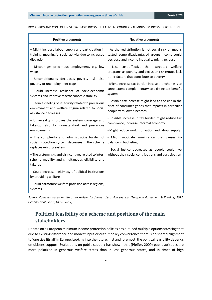#### <span id="page-20-1"></span>BOX 2. PROS AND CONS OF UNIVERSAL BASIC INCOME RELATIVE TO CONDITIONAL MINIMUM INCOME PROTECTION

| <b>Positive arguments</b>                                                                                                     | <b>Negative arguments</b>                                                                               |
|-------------------------------------------------------------------------------------------------------------------------------|---------------------------------------------------------------------------------------------------------|
| + Might increase labour supply and participation in                                                                           | - As the redistribution is not social risk or means                                                     |
| training, meaningful social activity due to increased                                                                         | tested, some disadvantaged groups income could                                                          |
| discretion                                                                                                                    | decrease and income inequality might increase.                                                          |
| + Discourages precarious employment, e.g. low                                                                                 | Less cost-effective than targeted welfare                                                               |
| wages                                                                                                                         | programs as poverty and exclusion risk groups lack                                                      |
| + Unconditionality decreases poverty risk, also                                                                               | other factors that contribute to poverty                                                                |
| poverty or unemployment traps                                                                                                 | - Might increase tax-burden in case the scheme is to                                                    |
| + Could increase resilience of socio-economic                                                                                 | large extent complementary to existing tax-benefit                                                      |
| systems and improve macroeconomic stability                                                                                   | system                                                                                                  |
| + Reduces feeling of insecurity related to precarious                                                                         | - Possible tax increase might lead to the rise in the                                                   |
| employment and welfare stigma related to social                                                                               | price of consumer goods that impacts in particular                                                      |
| assistance decreases                                                                                                          | people with lower incomes                                                                               |
| + Universality improves the system coverage and                                                                               | - Possible increase in tax burden might reduce tax                                                      |
| take-up (also for non-standard and precarious                                                                                 | compliance, increase informal economy                                                                   |
| employment)                                                                                                                   | - Might reduce work motivation and labour supply                                                        |
| + The complexity and administrative burden of<br>social protection system decreases if the scheme<br>replaces existing system | - Might motivate immigration that causes in-<br>balance in budgeting                                    |
| + The system risks and disincentives related to inter-<br>scheme mobility and simultaneous eligibility and<br>take-up         | - Social justice decreases as people could live<br>without their social contributions and participation |
| + Could increase legitimacy of political institutions<br>by providing welfare                                                 |                                                                                                         |
| + Could harmonise welfare provision across regions,<br>systems                                                                |                                                                                                         |

*Source: Compiled based on literature review; for further discussion see e.g. (European Parliament & Karakas, 2017; Gentilini et al., 2019; OECD, 2017)*

# <span id="page-20-0"></span>**Political feasibility of a scheme and positions of the main stakeholders**

Debate on a European minimum income protection policies has outlined multiple options stressing that due to existing difference and modest input or output policy convergence there is no shared alignment to 'one size fits all' in Europe. Looking into the future, first and foremost, the political feasibility depends on citizens support. Evaluations on public support has shown that (Pfeifer, 2009) public attitudes are more polarized in generous welfare states than in less generous states, and in times of high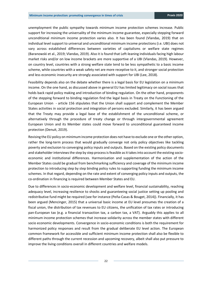unemployment the public sympathy towards minimum income protection schemes increase. Public support for increasing the universality of the minimum income guarantee, especially stepping forward unconditional minimum income protection varies also. It has been found (Vlandas, 2019) that on individual level support to universal and unconditional minimum income protections (i.e. UBI) does not vary across established differences between varieties of capitalisms or welfare state regimes (Baranowski et al., 2019; Vlandas, 2019). Also it is found that Left-leaning individuals facing high labour market risks and/or on low income brackets are more supportive of a UBI (Vlandas, 2019). However, on country level, countries with a strong welfare state tend to be less sympathetic to a basic income scheme, while countries with a weak safety net are more receptive to it, and stronger social protection and less economic insecurity are strongly associated with support for UBI (Lee, 2018).

Feasibility depends also on the debate whether there is a legal basis for EU legislation on a minimum income. On the one hand, as discussed above in general EU has limited legitimacy on social issues that holds back rapid policy making and introduction of binding regulation. On the other hand, proponents of the stepping forward to binding regulation find the legal basis in Treaty on the Functioning of the European Union - article 156 stipulates that the Union shall support and complement the Member States activities in social protection and integration of persons excluded. Similarly, it has been argued that the Treaty may provide a legal base of the establishment of the unconditional scheme, or alternatively through the procedure of treaty change or through intergovernmental agreement European Union and its Member states could move forward to unconditional guaranteed income protection (Denuit, 2019).

Revising the EU policy on minimum income protection does not have to exclude one or the other option, rather the long-term process that would gradually converge not only policy objectives like tackling poverty and exclusion to converging policy inputs and outputs. Based on the existing policy documents and stakeholder interviews the step by step process is feasible as it takes into account the existing socioeconomic and institutional differences. Harmonisation and supplementation of the action of the Member States could be gradual from benchmarking sufficiency and coverage of the minimum income protection to introducing step by step binding policy rules to supporting funding the minimum income schemes. In that regard, depending on the rate and extent of converging policy inputs and outputs, the co-ordination in financing is required between Member States and EU.

Due to differences in socio-economic development and welfare level, financial sustainability, reaching adequacy level, increasing resilience to shocks and guaranteeing social justice setting up pooling and redistributive fund might be required (see for instance (Peña-Casas & Bouget, 2014)). Financially, it has been argued (Mencinger, 2015) that a universal basic income at EU level presumes the creation of a fiscal union, the distribution of tax revenues to EU citizens, the unification of tax rates or introducing pan-European tax (e.g. a financial transaction tax, a carbon tax, a VAT). Arguably this applies to all minimum income protection schemes that increase solidarity across the member states with different socio economic developments. Convergence in socio-economic conditions is both the requirement for harmonized policy responses and result from the gradual deliberate EU level action. The European common framework for accessible and sufficient minimum income protection shall also be flexible to different paths through the current recession and upcoming recovery, albeit shall also put pressure to improve the living conditions overall in different countries and welfare models.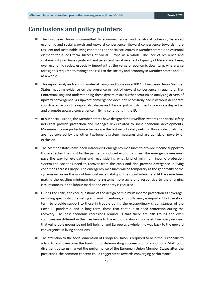# <span id="page-22-0"></span>**Conclusions and policy pointers**

- The European Union is committed to economic, social and territorial cohesion, balanced economic and social growth and upward convergence. Upward convergence towards more resilient and sustainable living conditions and social structures in Member States is an essential element for a long-term success of Social Europe as a whole. The lack of resilience and sustainability can have significant and persistent negative effect of quality of life and wellbeing over economic cycles, especially important at the verge of economic downturn, where wise foresight is required to manage the risks to the society and economy in Member States and EU as a whole.
- This report analyses trends in material living conditions since 2007 in European Union Member States mapping evidence on the presence or lack of upward convergence in quality of life. Contextualising and understanding these dynamics are further scrutinized analysing drivers of upward convergence. As upward convergence does not necessarily occur without deliberate coordinated action, the report also discusses EU social policy instruments to address disparities and promote upward convergence in living conditions in the EU.
- In our Social Europe, the Member States have designed their welfare systems and social safety nets that provide protection and manages risks related to socio economic developments. Minimum income protection schemes are the last resort safety nets for those individuals that are not covered by the other tax-benefit system measures and are at risk of poverty or exclusion.
- The Member states have been introducing emergency measures to provide income support to those affected the most by the pandemic induced economic crisis. The emergency measures pave the way for evaluating and reconsidering what kind of minimum income protection system the societies need to recover from the crisis and also prevent divergence in living conditions across Europe. The emergency measures will be temporary as the generosity of the systems increases the risk of financial sustainability of the social safety nets. At the same time, making the existing minimum income systems more agile and responsive to the changing circumstances in the labour market and economy is required.
- **E** During the crisis, the core questions of the design of minimum income protection as coverage, including specificity of targeting and work incentives, and sufficiency is important both in short term to provide support to those in trouble during the extraordinary circumstances of the Covid-19 pandemic, and in long term, those that continue to need protection during the recovery. The past economic recessions remind us that there are risk groups and even countries are different in their resilience to the economic shocks. Successful recovery requires that vulnerable groups be not left behind, and Europe as a whole find way back to the upward convergence in living conditions.
- The attention to the social dimension of European Union is required to help the Europeans to adapt to and overcome the hardship of deteriorating socio-economic conditions. Stalling or divergent patterns marked the performance of the European Union Member States after the past crises, the common concern could trigger steps towards converging performance.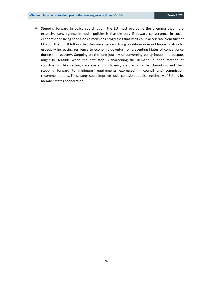■ Stepping forward in policy coordination, the EU must overcome the dilemma that more extensive convergence in social policies is feasible only if upward convergence in socioeconomic and living conditions dimensions progresses that itself could accelerate from further EU coordination. It follows that the convergence in living conditions does not happen naturally, especially increasing resilience to economic downturn or preventing hiatus of convergence during the recovery. Stepping on the long journey of converging policy inputs and outputs might be feasible when the first step is sharpening the demand in open method of coordination, like setting coverage and sufficiency standards for benchmarking and then stepping forward to minimum requirements expressed in council and commission recommendations. These steps could improve social cohesion but also legitimacy of EU and its member states cooperation.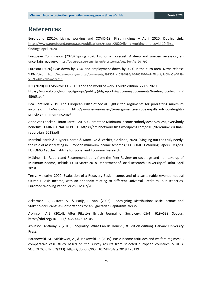# <span id="page-24-0"></span>**References**

Eurofound (2020), Living, working and COVID-19: First findings – April 2020, Dublin. Link: [https://www.eurofound.europa.eu/publications/report/2020/living-working-and-covid-19-first](https://www.eurofound.europa.eu/publications/report/2020/living-working-and-covid-19-first-findings-april-2020)[findings-april-2020](https://www.eurofound.europa.eu/publications/report/2020/living-working-and-covid-19-first-findings-april-2020)

European Commission (2020) Spring 2020 Economic Forecast: A deep and uneven recession, an uncertain recovery. [https://ec.europa.eu/commission/presscorner/detail/en/ip\\_20\\_799](https://ec.europa.eu/commission/presscorner/detail/en/ip_20_799)

Eurostat (2020) GDP down by 3.6% and employment down by 0.2% in the euro area. News release 9.06.2020. [https://ec.europa.eu/eurostat/documents/2995521/10294996/2-09062020-AP-EN.pdf/8a68ea5e-5189-](https://ec.europa.eu/eurostat/documents/2995521/10294996/2-09062020-AP-EN.pdf/8a68ea5e-5189-5b09-24de-ea057adeee15) [5b09-24de-ea057adeee15](https://ec.europa.eu/eurostat/documents/2995521/10294996/2-09062020-AP-EN.pdf/8a68ea5e-5189-5b09-24de-ea057adeee15)

ILO (2020) ILO Monitor: COVID-19 and the world of work. Fourth edition. 27.05.2020. [https://www.ilo.org/wcmsp5/groups/public/@dgreports/@dcomm/documents/briefingnote/wcms\\_7](https://www.ilo.org/wcmsp5/groups/public/@dgreports/@dcomm/documents/briefingnote/wcms_745963.pdf) [45963.pdf](https://www.ilo.org/wcmsp5/groups/public/@dgreports/@dcomm/documents/briefingnote/wcms_745963.pdf)

Bea Cantillon 2019. The European Pillar of Social Rights: ten arguments for prioritizing minimum incomes. EuVisions. http://www.euvisions.eu/ten-arguments-european-pillar-of-social-rightsprinciple-minimum-income/

Anne van Lancker, Fintan Farrell. 2018. Guaranteed Minimum Income Nobody deserves less, everybody benefiits. EMIN2 FINAL REPORT. https://eminnetwork.files.wordpress.com/2019/02/emin2-eu-finalreport-jan\_2018.pdf

Marchal, Sarah & Kuypers, Sarah & Marx, Ive & Verbist, Gerlinde, 2020. "Singling out the truly needy: the role of asset testing in European minimum income schemes," EUROMOD Working Papers EM4/20, EUROMOD at the Institute for Social and Economic Research.

Mäkinen, L., Report and Recommendations from the Peer Review on coverage and non-take-up of Minimum Income, Helsinki 13-14 March 2018, Department of Social Research, University of Turku, April 2018

Terry, Malcolm. 2020. Evaluation of a Recovery Basic Income, and of a sustainable revenue neutral Citizen's Basic Income, with an appendix relating to different Universal Credit roll-out scenarios. Euromod Working Paper Series, EM 07/20.

Ackerman, B., Alstott, A., & Parijs, P. van. (2006). Redesigning Distribution: Basic Income and Stakeholder Grants as Cornerstones for an Egalitarian Capitalism. Verso.

Atkinson, A.B. (2014). After Piketty? British Journal of Sociology, 65(4), 619–638. Scopus. https://doi.org/10.1111/1468-4446.12105

Atkinson, Anthony B. (2015). Inequality: What Can Be Done? (1st Edition edition). Harvard University Press.

Baranowski, M., Mickiewicz, A., & Jabkowski, P. (2019). Basic income attitudes and welfare regimes: A comparative case study based on the survey results from selected european countries. STUDIA SOCJOLOGICZNE, 2(233). https://doi.org/DOI: 10.24425/sts.2019.126139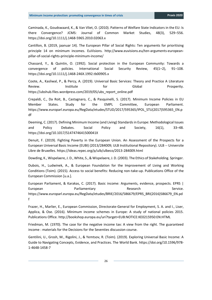Caminada, K., Goudswaard, K., & Van Vliet, O. (2010). Patterns of Welfare State Indicators in the EU: Is there Convergence? JCMS: Journal of Common Market Studies, 48(3), 529–556. https://doi.org/10.1111/j.1468-5965.2010.02063.x

Cantillon, B. (2019, jaanuar 14). The European Pillar of Social Rights: Ten arguments for prioritising principle 14 on minimum incomes. EuVisions. http://www.euvisions.eu/ten-arguments-europeanpillar-of-social-rights-principle-minimum-income/

Chassard, Y., & Quintin, O. (1992). Social protection in the European Community: Towards a convergence of policies. International Social Security Review, 45(1–2), 91–108. https://doi.org/10.1111/j.1468-246X.1992.tb00905.x

Coote, A., Kasliwal, P., & Percy, A. (2019). Universal Basic Services: Theory and Practice A Literature Review. **Institute** For Global Prosperity. https://ubshub.files.wordpress.com/2019/05/ubs\_report\_online.pdf

Crepaldi, C., Da Roit, B., Castagnaro, C., & Pasquinelli, S. (2017). Minimum Income Policies in EU Member States. Study for the EMPL Committee, European Parliament. https://www.europarl.europa.eu/RegData/etudes/STUD/2017/595365/IPOL\_STU(2017)595365\_EN.p df

Deeming, C. (2017). Defining Minimum Income (and Living) Standards in Europe: Methodological Issues and Policy Debates. Social Policy and Society, 16(1), 33–48. https://doi.org/10.1017/S147474641500041X

Denuit, F. (2019). Fighting Poverty in the European Union. An Assessment of the Prospects for a European Universal Basic Income (EUBI) (2013/284009; ULB Institutional Repository). ULB -- Universite Libre de Bruxelles. https://ideas.repec.org/p/ulb/ulbeco/2013-284009.html

Dowding, K., Wispelaere, J. D., White, S., & Wispelaere, J. D. (2003). The Ethics of Stakeholding. Springer.

Dubois, H., Ludwinek, A., & European Foundation for the Improvement of Living and Working Conditions (Toim). (2015). Access to social benefits: Reducing non-take-up. Publications Office of the European Commission [u.a.].

European Parliament, & Karakas, C. (2017). Basic income: Arguments, evidence, prospects. EPRS | European Parliamentary Research Service. https://www.europarl.europa.eu/RegData/etudes/BRIE/2016/586679/EPRS\_BRI(2016)586679\_EN.pd f

Frazer, H., Marlier, E., European Commission, Directorate-General for Employment, S. A. and I., Liser, Applica, & Ose. (2016). Minimum income schemes in Europe: A study of national policies 2015. Publications Office. http://bookshop.europa.eu/uri?target=EUB:NOTICE:KE0215950:EN:HTML

Friedman, M. (1970). The case for the negative income tax: A view from the right. The guaranteed income : materials for the Decisions for the Seventies discussion course.

Gentilini, U., Grosh, M., Rigolini, J., & Yemtsov, R. (Toim). (2019). Exploring Universal Basic Income: A Guide to Navigating Concepts, Evidence, and Practices. The World Bank. https://doi.org/10.1596/978- 1-4648-1458-7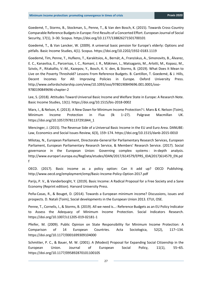Goedemé, T., Storms, B., Stockman, S., Penne, T., & Van den Bosch, K. (2015). Towards Cross-Country Comparable Reference Budgets in Europe: First Results of a Concerted Effort. European Journal of Social Security, 17(1), 3–30. Scopus. https://doi.org/10.1177/138826271501700101

Goedemé, T., & Van Lancker, W. (2009). A universal basic pension for Europe's elderly: Options and pitfalls. Basic Income Studies, 4(1). Scopus. https://doi.org/10.2202/1932-0183.1119

Goedemé, Tim, Penne, T., Hufkens, T., Karakitsios, A., Bernát, A., Franziskus, A., Simonovits, B., Álvarez, E. C., Kanavitsa, E., Parcerisas, I. C., Romaní, J. R., Mäkinen, L., Matsaganis, M., Arlotti, M., Kopasz, M., Szivós, P., Ritakallio, V.-M., Kazepov, Y., Bosch, K. V. den, & Storms, B. (2019). What Does It Mean to Live on the Poverty Threshold? Lessons From Reference Budgets. B. Cantillon, T. Goedemé, & J. Hills, Decent Incomes for All: Improving Policies in Europe. Oxford University Press. http://www.oxfordscholarship.com/view/10.1093/oso/9780190849696.001.0001/oso-9780190849696-chapter-2

Lee, S. (2018). Attitudes Toward Universal Basic Income and Welfare State in Europe: A Research Note. Basic Income Studies, 13(1). https://doi.org/10.1515/bis-2018-0002

Marx, I., & Nelson, K. (2013). A New Dawn for Minimum Income Protection? I. Marx & K. Nelson (Toim), Minimum Income Protection in Flux (lk 1–27). Palgrave Macmillan UK. https://doi.org/10.1057/9781137291844\_1

Mencinger, J. (2015). The Revenue Side of a Universal Basic Income in the EU and Euro Area. DANUBE: Law, Economics and Social Issues Review, 6(3), 159–174. https://doi.org/10.1515/danb-2015-0010

Milotay, N., European Parliament, Directorate-General for Parliamentary Research Services, European Parliament, European Parliamentary Research Service, & Members' Research Service. (2017). Social governance in the European Union: Governing complex systems : in-depth analysis. http://www.europarl.europa.eu/RegData/etudes/IDAN/2017/614579/EPRS\_IDA(2017)614579\_EN.pd f

OECD. (2017). Basic income as a policy option: Can it add up? OECD Publishing. http://www.oecd.org/employment/emp/Basic-Income-Policy-Option-2017.pdf

Parijs, P. V., & Vanderborght, Y. (2019). Basic Income: A Radical Proposal for a Free Society and a Sane Economy (Reprint edition). Harvard University Press.

Peña-Casas, R., & Bouget, D. (2014). Towards a European minimum income? Discussions, issues and prospects. D. Natali (Toim), Social developments in the European Union 2013. ETUI, OSE.

Penne, T., Cornelis, I., & Storms, B. (2019). All we need is…: Reference Budgets as an EU Policy Indicator to Assess the Adequacy of Minimum Income Protection. Social Indicators Research. https://doi.org/10.1007/s11205-019-02181-1

Pfeifer, M. (2009). Public Opinion on State Responsibility for Minimum Income Protection: A Comparison of 14 European Countries. Acta Sociologica, 52(2), 117–134. https://doi.org/10.1177/0001699309104000

Schmitter, P. C., & Bauer, M. W. (2001). A (Modest) Proposal for Expanding Social Citizenship in the European Union. Journal of European Social Policy, 11(1), 55–65. https://doi.org/10.1177/095892870101100105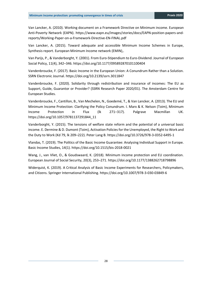Van Lancker, A. (2010). Working document on a Framework Directive on Minimum income. European Anti-Poverty Network (EAPN). https://www.eapn.eu/images/stories/docs/EAPN-position-papers-andreports/Working-Paper-on-a-Framework-Directive-EN-FINAL.pdf

Van Lancker, A. (2015). Toward adequate and accessible Minimum Income Schemes in Europe, Synthesis report. European Minimum Income network (EMIN),.

Van Parijs, P., & Vanderborght, Y. (2001). From Euro-Stipendium to Euro-Dividend. Journal of European Social Policy, 11(4), 342–346. https://doi.org/10.1177/095892870101100404

Vandenbroucke, F. (2017). Basic Income in the European Union: A Conundrum Rather than a Solution. SSRN Electronic Journal. https://doi.org/10.2139/ssrn.3011847

Vandenbroucke, F. (2020). Solidarity through redistribution and insurance of incomes: The EU as Support, Guide, Guarantor or Provider? (SSRN Research Paper 2020/01). The Amsterdam Centre for European Studies.

Vandenbroucke, F., Cantillon, B., Van Mechelen, N., Goedemé, T., & Van Lancker, A. (2013). The EU and Minimum Income Protection: Clarifying the Policy Conundrum. I. Marx & K. Nelson (Toim), Minimum Income Protection in Flux (lk 271–317). Palgrave Macmillan UK. https://doi.org/10.1057/9781137291844\_11

Vanderborght, Y. (2015). The tensions of welfare state reform and the potential of a universal basic income. E. Dermine & D. Dumont (Toim), Activation Policies for the Unemployed, the Right to Work and the Duty to Work (Kd 79, lk 209–222). Peter Lang B. https://doi.org/10.3726/978-3-0352-6495-1

Vlandas, T. (2019). The Politics of the Basic Income Guarantee: Analysing Individual Support in Europe. Basic Income Studies, 14(1). https://doi.org/10.1515/bis-2018-0021

Wang, J., van Vliet, O., & Goudswaard, K. (2018). Minimum income protection and EU coordination. European Journal of Social Security, 20(3), 253–271. https://doi.org/10.1177/1388262718798896

Widerquist, K. (2019). A Critical Analysis of Basic Income Experiments for Researchers, Policymakers, and Citizens. Springer International Publishing. https://doi.org/10.1007/978-3-030-03849-6